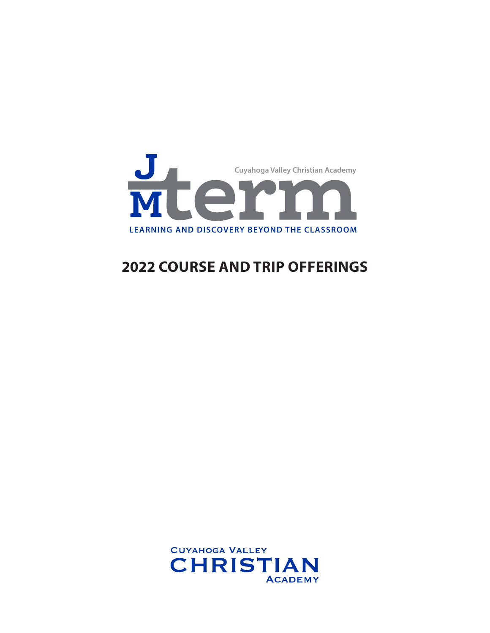

# **2022 COURSE AND TRIP OFFERINGS**

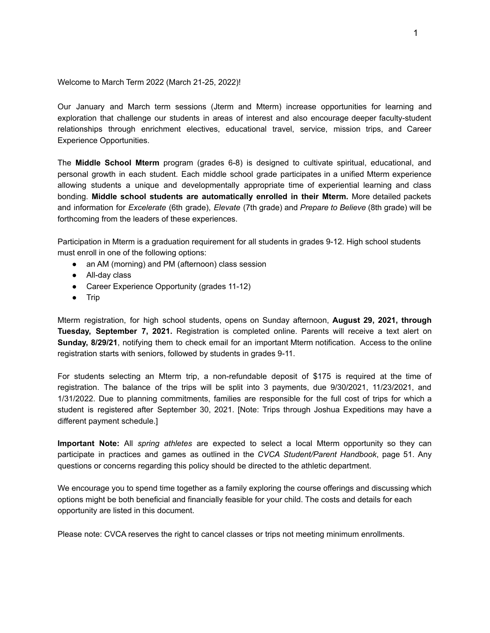Welcome to March Term 2022 (March 21-25, 2022)!

Our January and March term sessions (Jterm and Mterm) increase opportunities for learning and exploration that challenge our students in areas of interest and also encourage deeper faculty-student relationships through enrichment electives, educational travel, service, mission trips, and Career Experience Opportunities.

The **Middle School Mterm** program (grades 6-8) is designed to cultivate spiritual, educational, and personal growth in each student. Each middle school grade participates in a unified Mterm experience allowing students a unique and developmentally appropriate time of experiential learning and class bonding. **Middle school students are automatically enrolled in their Mterm.** More detailed packets and information for *Excelerate* (6th grade), *Elevate* (7th grade) and *Prepare to Believe* (8th grade) will be forthcoming from the leaders of these experiences.

Participation in Mterm is a graduation requirement for all students in grades 9-12. High school students must enroll in one of the following options:

- an AM (morning) and PM (afternoon) class session
- All-day class
- Career Experience Opportunity (grades 11-12)
- Trip

Mterm registration, for high school students, opens on Sunday afternoon, **August 29, 2021, through Tuesday, September 7, 2021.** Registration is completed online. Parents will receive a text alert on **Sunday, 8/29/21**, notifying them to check email for an important Mterm notification. Access to the online registration starts with seniors, followed by students in grades 9-11.

For students selecting an Mterm trip, a non-refundable deposit of \$175 is required at the time of registration. The balance of the trips will be split into 3 payments, due 9/30/2021, 11/23/2021, and 1/31/2022. Due to planning commitments, families are responsible for the full cost of trips for which a student is registered after September 30, 2021. [Note: Trips through Joshua Expeditions may have a different payment schedule.]

**Important Note:** All *spring athletes* are expected to select a local Mterm opportunity so they can participate in practices and games as outlined in the *CVCA Student/Parent Handbook*, page 51. Any questions or concerns regarding this policy should be directed to the athletic department.

We encourage you to spend time together as a family exploring the course offerings and discussing which options might be both beneficial and financially feasible for your child. The costs and details for each opportunity are listed in this document.

Please note: CVCA reserves the right to cancel classes or trips not meeting minimum enrollments.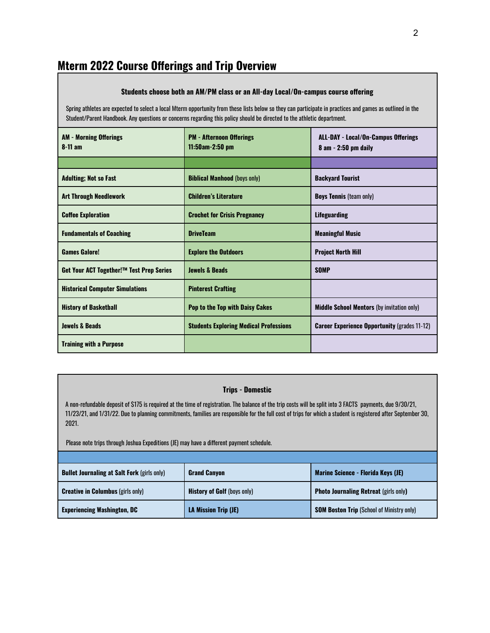# **Mterm 2022 Course Offerings and Trip Overview**

#### **Students choose both an AM/PM class or an All-day Local/On-campus course offering**

Spring athletes are expected to select a local Mterm opportunity from these lists below so they can participate in practices and games as outlined in the Student/Parent Handbook. Any questions or concerns regarding this policy should be directed to the athletic department.

| <b>AM - Morning Offerings</b><br>$8-11$ am | <b>PM - Afternoon Offerings</b><br>11:50am-2:50 pm | <b>ALL-DAY - Local/On-Campus Offerings</b><br>$8$ am $-$ 2:50 pm daily |
|--------------------------------------------|----------------------------------------------------|------------------------------------------------------------------------|
|                                            |                                                    |                                                                        |
| <b>Adulting; Not so Fast</b>               | <b>Biblical Manhood (boys only)</b>                | <b>Backyard Tourist</b>                                                |
| <b>Art Through Needlework</b>              | <b>Children's Literature</b>                       | <b>Boys Tennis (team only)</b>                                         |
| <b>Coffee Exploration</b>                  | <b>Crochet for Crisis Pregnancy</b>                | <b>Lifeguarding</b>                                                    |
| <b>Fundamentals of Coaching</b>            | <b>DriveTeam</b>                                   | <b>Meaningful Music</b>                                                |
| <b>Games Galore!</b>                       | <b>Explore the Outdoors</b>                        | <b>Project North Hill</b>                                              |
| Get Your ACT Together!™ Test Prep Series   | <b>Jewels &amp; Beads</b>                          | <b>SOMP</b>                                                            |
| <b>Historical Computer Simulations</b>     | <b>Pinterest Crafting</b>                          |                                                                        |
| <b>History of Basketball</b>               | <b>Pop to the Top with Daisy Cakes</b>             | <b>Middle School Mentors</b> (by invitation only)                      |
| <b>Jewels &amp; Beads</b>                  | <b>Students Exploring Medical Professions</b>      | <b>Career Experience Opportunity (grades 11-12)</b>                    |
| <b>Training with a Purpose</b>             |                                                    |                                                                        |

#### **Trips - Domestic**

A non-refundable deposit of \$175 is required at the time of registration. The balance of the trip costs will be split into 3 FACTS payments, due 9/30/21, 11/23/21, and 1/31/22. Due to planning commitments, families are responsible for the full cost of trips for which a student is registered after September 30, 2021.

Please note trips through Joshua Expeditions (JE) may have a different payment schedule.

| <b>Bullet Journaling at Salt Fork (girls only)</b> | <b>Grand Canyon</b>                | Marine Science - Florida Keys (JE)               |
|----------------------------------------------------|------------------------------------|--------------------------------------------------|
| <b>Creative in Columbus</b> (girls only)           | <b>History of Golf (boys only)</b> | <b>Photo Journaling Retreat (girls only)</b>     |
| <b>Experiencing Washington, DC</b>                 | <b>LA Mission Trip (JE)</b>        | <b>SOM Boston Trip (School of Ministry only)</b> |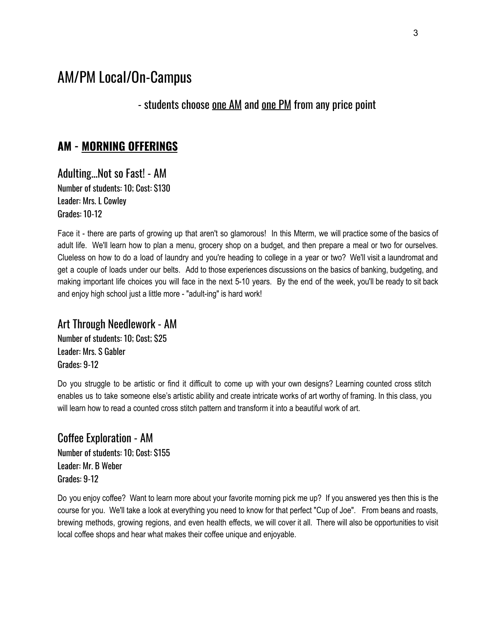# AM/PM Local/On-Campus

- students choose one AM and one PM from any price point

#### **AM - MORNING OFFERINGS**

Adulting...Not so Fast! - AM Number of students: 10; Cost: \$130 Leader: Mrs. L Cowley Grades: 10-12

Face it - there are parts of growing up that aren't so glamorous! In this Mterm, we will practice some of the basics of adult life. We'll learn how to plan a menu, grocery shop on a budget, and then prepare a meal or two for ourselves. Clueless on how to do a load of laundry and you're heading to college in a year or two? We'll visit a laundromat and get a couple of loads under our belts. Add to those experiences discussions on the basics of banking, budgeting, and making important life choices you will face in the next 5-10 years. By the end of the week, you'll be ready to sit back and enjoy high school just a little more - "adult-ing" is hard work!

#### Art Through Needlework - AM

Number of students: 10; Cost; \$25 Leader: Mrs. S Gabler Grades: 9-12

Do you struggle to be artistic or find it difficult to come up with your own designs? Learning counted cross stitch enables us to take someone else's artistic ability and create intricate works of art worthy of framing. In this class, you will learn how to read a counted cross stitch pattern and transform it into a beautiful work of art.

Coffee Exploration - AM Number of students: 10; Cost: \$155 Leader: Mr. B Weber Grades: 9-12

Do you enjoy coffee? Want to learn more about your favorite morning pick me up? If you answered yes then this is the course for you. We'll take a look at everything you need to know for that perfect "Cup of Joe". From beans and roasts, brewing methods, growing regions, and even health effects, we will cover it all. There will also be opportunities to visit local coffee shops and hear what makes their coffee unique and enjoyable.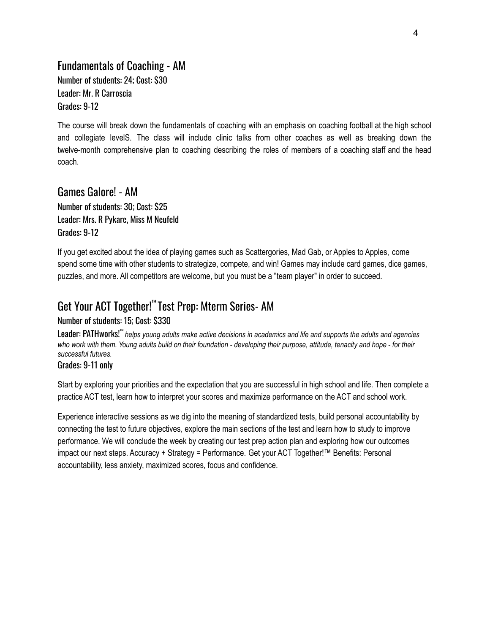#### Fundamentals of Coaching - AM Number of students: 24; Cost: \$30 Leader: Mr. R Carroscia Grades: 9-12

The course will break down the fundamentals of coaching with an emphasis on coaching football at the high school and collegiate levelS. The class will include clinic talks from other coaches as well as breaking down the twelve-month comprehensive plan to coaching describing the roles of members of a coaching staff and the head coach.

#### Games Galore! - AM

Number of students: 30; Cost: \$25 Leader: Mrs. R Pykare, Miss M Neufeld Grades: 9-12

If you get excited about the idea of playing games such as Scattergories, Mad Gab, or Apples to Apples, come spend some time with other students to strategize, compete, and win! Games may include card games, dice games, puzzles, and more. All competitors are welcome, but you must be a "team player" in order to succeed.

### Get Your ACT Together! ™ Test Prep: Mterm Series- AM

Number of students: 15; Cost: \$330

Leader: PATHworks!™ helps young adults make active decisions in academics and life and supports the adults and agencies who work with them. Young adults build on their foundation - developing their purpose, attitude, tenacity and hope - for their *successful futures.*

Grades: 9-11 only

Start by exploring your priorities and the expectation that you are successful in high school and life. Then complete a practice ACT test, learn how to interpret your scores and maximize performance on the ACT and school work.

Experience interactive sessions as we dig into the meaning of standardized tests, build personal accountability by connecting the test to future objectives, explore the main sections of the test and learn how to study to improve performance. We will conclude the week by creating our test prep action plan and exploring how our outcomes impact our next steps. Accuracy + Strategy = Performance. Get your ACT Together!™ Benefits: Personal accountability, less anxiety, maximized scores, focus and confidence.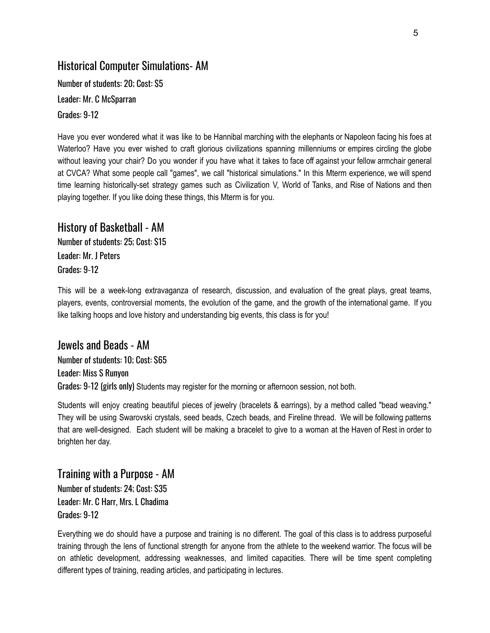#### Historical Computer Simulations- AM

Number of students: 20; Cost: \$5 Leader: Mr. C McSparran Grades: 9-12

Have you ever wondered what it was like to be Hannibal marching with the elephants or Napoleon facing his foes at Waterloo? Have you ever wished to craft glorious civilizations spanning millenniums or empires circling the globe without leaving your chair? Do you wonder if you have what it takes to face off against your fellow armchair general at CVCA? What some people call "games", we call "historical simulations." In this Mterm experience, we will spend time learning historically-set strategy games such as Civilization V, World of Tanks, and Rise of Nations and then playing together. If you like doing these things, this Mterm is for you.

#### History of Basketball - AM

Number of students: 25; Cost: \$15 Leader: Mr. J Peters Grades: 9-12

This will be a week-long extravaganza of research, discussion, and evaluation of the great plays, great teams, players, events, controversial moments, the evolution of the game, and the growth of the international game. If you like talking hoops and love history and understanding big events, this class is for you!

Jewels and Beads - AM Number of students: 10; Cost: \$65 Leader: Miss S Runyon Grades: 9-12 (girls only) Students may register for the morning or afternoon session, not both.

Students will enjoy creating beautiful pieces of jewelry (bracelets & earrings), by a method called "bead weaving." They will be using Swarovski crystals, seed beads, Czech beads, and Fireline thread. We will be following patterns that are well-designed. Each student will be making a bracelet to give to a woman at the Haven of Rest in order to brighten her day.

Training with a Purpose - AM Number of students: 24; Cost: \$35 Leader: Mr. C Harr, Mrs. L Chadima Grades: 9-12

Everything we do should have a purpose and training is no different. The goal of this class is to address purposeful training through the lens of functional strength for anyone from the athlete to the weekend warrior. The focus will be on athletic development, addressing weaknesses, and limited capacities. There will be time spent completing different types of training, reading articles, and participating in lectures.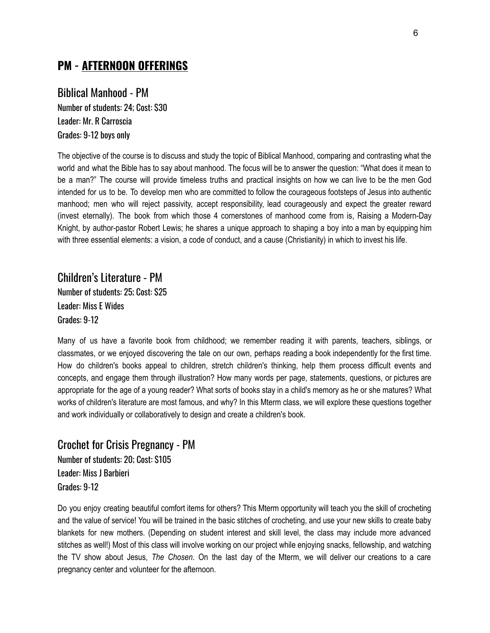#### **PM - AFTERNOON OFFERINGS**

#### Biblical Manhood - PM

Number of students: 24; Cost: \$30 Leader: Mr. R Carroscia Grades: 9-12 boys only

The objective of the course is to discuss and study the topic of Biblical Manhood, comparing and contrasting what the world and what the Bible has to say about manhood. The focus will be to answer the question: "What does it mean to be a man?" The course will provide timeless truths and practical insights on how we can live to be the men God intended for us to be. To develop men who are committed to follow the courageous footsteps of Jesus into authentic manhood; men who will reject passivity, accept responsibility, lead courageously and expect the greater reward (invest eternally). The book from which those 4 cornerstones of manhood come from is, Raising a Modern-Day Knight, by author-pastor Robert Lewis; he shares a unique approach to shaping a boy into a man by equipping him with three essential elements: a vision, a code of conduct, and a cause (Christianity) in which to invest his life.

Children's Literature - PM Number of students: 25; Cost: \$25 Leader: Miss E Wides Grades: 9-12

Many of us have a favorite book from childhood; we remember reading it with parents, teachers, siblings, or classmates, or we enjoyed discovering the tale on our own, perhaps reading a book independently for the first time. How do children's books appeal to children, stretch children's thinking, help them process difficult events and concepts, and engage them through illustration? How many words per page, statements, questions, or pictures are appropriate for the age of a young reader? What sorts of books stay in a child's memory as he or she matures? What works of children's literature are most famous, and why? In this Mterm class, we will explore these questions together and work individually or collaboratively to design and create a children's book.

Crochet for Crisis Pregnancy - PM Number of students: 20; Cost: \$105 Leader: Miss J Barbieri Grades: 9-12

Do you enjoy creating beautiful comfort items for others? This Mterm opportunity will teach you the skill of crocheting and the value of service! You will be trained in the basic stitches of crocheting, and use your new skills to create baby blankets for new mothers. (Depending on student interest and skill level, the class may include more advanced stitches as well!) Most of this class will involve working on our project while enjoying snacks, fellowship, and watching the TV show about Jesus, *The Chosen*. On the last day of the Mterm, we will deliver our creations to a care pregnancy center and volunteer for the afternoon.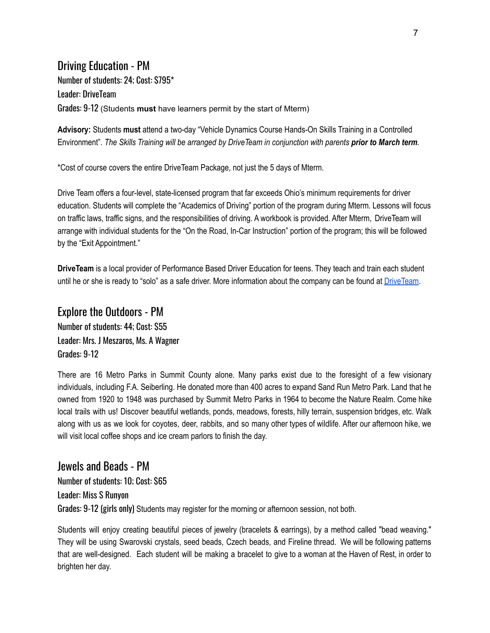#### Driving Education - PM

Number of students: 24; Cost: \$795\* Leader: DriveTeam Grades: 9-12 (Students **must** have learners permit by the start of Mterm)

**Advisory:** Students **must** attend a two-day "Vehicle Dynamics Course Hands-On Skills Training in a Controlled Environment". The Skills Training will be arranged by Drive Team in conjunction with parents prior to March term.

\*Cost of course covers the entire DriveTeam Package, not just the 5 days of Mterm.

Drive Team offers a four-level, state-licensed program that far exceeds Ohio's minimum requirements for driver education. Students will complete the "Academics of Driving" portion of the program during Mterm. Lessons will focus on traffic laws, traffic signs, and the responsibilities of driving. A workbook is provided. After Mterm, DriveTeam will arrange with individual students for the "On the Road, In-Car Instruction" portion of the program; this will be followed by the "Exit Appointment."

**DriveTeam** is a local provider of Performance Based Driver Education for teens. They teach and train each student until he or she is ready to "solo" as a safe driver. More information about the company can be found at [DriveTeam](http://driveteam.com/).

#### Explore the Outdoors - PM Number of students: 44; Cost: \$55 Leader: Mrs. J Meszaros, Ms. A Wagner Grades: 9-12

There are 16 Metro Parks in Summit County alone. Many parks exist due to the foresight of a few visionary individuals, including F.A. Seiberling. He donated more than 400 acres to expand Sand Run Metro Park. Land that he owned from 1920 to 1948 was purchased by Summit Metro Parks in 1964 to become the Nature Realm. Come hike local trails with us! Discover beautiful wetlands, ponds, meadows, forests, hilly terrain, suspension bridges, etc. Walk along with us as we look for coyotes, deer, rabbits, and so many other types of wildlife. After our afternoon hike, we will visit local coffee shops and ice cream parlors to finish the day.

Jewels and Beads - PM Number of students: 10; Cost: \$65 Leader: Miss S Runyon Grades: 9-12 (girls only) Students may register for the morning or afternoon session, not both.

Students will enjoy creating beautiful pieces of jewelry (bracelets & earrings), by a method called "bead weaving." They will be using Swarovski crystals, seed beads, Czech beads, and Fireline thread. We will be following patterns that are well-designed. Each student will be making a bracelet to give to a woman at the Haven of Rest, in order to brighten her day.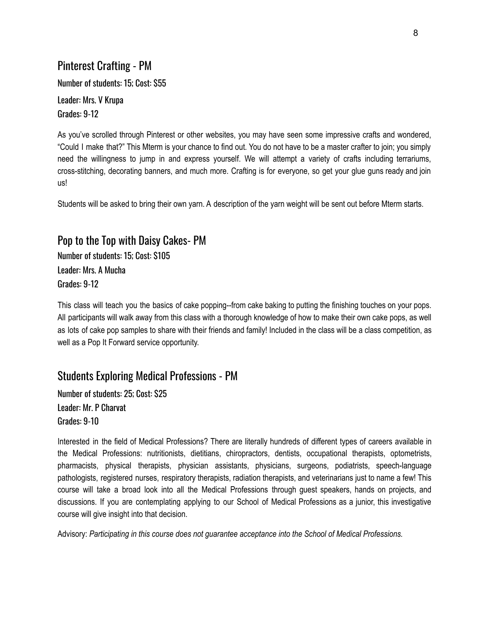#### Pinterest Crafting - PM

Number of students: 15; Cost: \$55

Leader: Mrs. V Krupa Grades: 9-12

As you've scrolled through Pinterest or other websites, you may have seen some impressive crafts and wondered, "Could I make that?" This Mterm is your chance to find out. You do not have to be a master crafter to join; you simply need the willingness to jump in and express yourself. We will attempt a variety of crafts including terrariums, cross-stitching, decorating banners, and much more. Crafting is for everyone, so get your glue guns ready and join us!

Students will be asked to bring their own yarn. A description of the yarn weight will be sent out before Mterm starts.

#### Pop to the Top with Daisy Cakes- PM

Number of students: 15; Cost: \$105 Leader: Mrs. A Mucha Grades: 9-12

This class will teach you the basics of cake popping--from cake baking to putting the finishing touches on your pops. All participants will walk away from this class with a thorough knowledge of how to make their own cake pops, as well as lots of cake pop samples to share with their friends and family! Included in the class will be a class competition, as well as a Pop It Forward service opportunity.

#### Students Exploring Medical Professions - PM

Number of students: 25; Cost: \$25 Leader: Mr. P Charvat Grades: 9-10

Interested in the field of Medical Professions? There are literally hundreds of different types of careers available in the Medical Professions: nutritionists, dietitians, chiropractors, dentists, occupational therapists, optometrists, pharmacists, physical therapists, physician assistants, physicians, surgeons, podiatrists, speech-language pathologists, registered nurses, respiratory therapists, radiation therapists, and veterinarians just to name a few! This course will take a broad look into all the Medical Professions through guest speakers, hands on projects, and discussions. If you are contemplating applying to our School of Medical Professions as a junior, this investigative course will give insight into that decision.

Advisory: *Participating in this course does not guarantee acceptance into the School of Medical Professions.*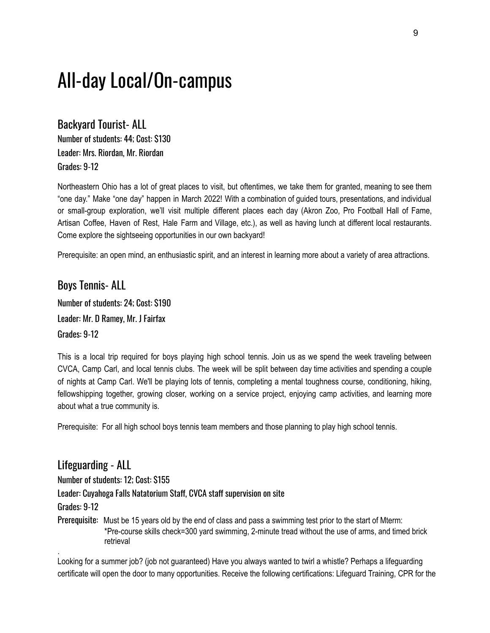# All-day Local/On-campus

Backyard Tourist- ALL Number of students: 44; Cost: \$130 Leader: Mrs. Riordan, Mr. Riordan Grades: 9-12

Northeastern Ohio has a lot of great places to visit, but oftentimes, we take them for granted, meaning to see them "one day." Make "one day" happen in March 2022! With a combination of guided tours, presentations, and individual or small-group exploration, we'll visit multiple different places each day (Akron Zoo, Pro Football Hall of Fame, Artisan Coffee, Haven of Rest, Hale Farm and Village, etc.), as well as having lunch at different local restaurants. Come explore the sightseeing opportunities in our own backyard!

Prerequisite: an open mind, an enthusiastic spirit, and an interest in learning more about a variety of area attractions.

#### Boys Tennis- ALL

Number of students: 24; Cost: \$190 Leader: Mr. D Ramey, Mr. J Fairfax Grades: 9-12

This is a local trip required for boys playing high school tennis. Join us as we spend the week traveling between CVCA, Camp Carl, and local tennis clubs. The week will be split between day time activities and spending a couple of nights at Camp Carl. We'll be playing lots of tennis, completing a mental toughness course, conditioning, hiking, fellowshipping together, growing closer, working on a service project, enjoying camp activities, and learning more about what a true community is.

Prerequisite: For all high school boys tennis team members and those planning to play high school tennis.

#### Lifeguarding - ALL

Number of students: 12; Cost: \$155

Leader: Cuyahoga Falls Natatorium Staff, CVCA staff supervision on site

Grades: 9-12

.

Prerequisite: Must be 15 years old by the end of class and pass a swimming test prior to the start of Mterm: \*Pre-course skills check=300 yard swimming, 2-minute tread without the use of arms, and timed brick retrieval

Looking for a summer job? (job not guaranteed) Have you always wanted to twirl a whistle? Perhaps a lifeguarding certificate will open the door to many opportunities. Receive the following certifications: Lifeguard Training, CPR for the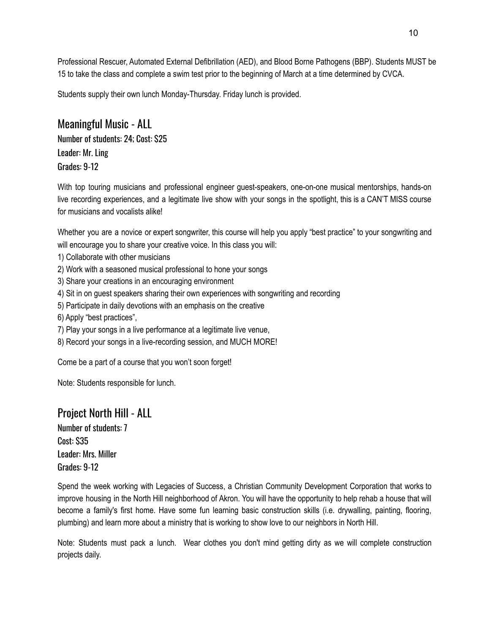Professional Rescuer, Automated External Defibrillation (AED), and Blood Borne Pathogens (BBP). Students MUST be 15 to take the class and complete a swim test prior to the beginning of March at a time determined by CVCA.

Students supply their own lunch Monday-Thursday. Friday lunch is provided.

#### Meaningful Music - ALL

Number of students: 24; Cost: \$25 Leader: Mr. Ling Grades: 9-12

With top touring musicians and professional engineer guest-speakers, one-on-one musical mentorships, hands-on live recording experiences, and a legitimate live show with your songs in the spotlight, this is a CAN'T MISS course for musicians and vocalists alike!

Whether you are a novice or expert songwriter, this course will help you apply "best practice" to your songwriting and will encourage you to share your creative voice. In this class you will:

- 1) Collaborate with other musicians
- 2) Work with a seasoned musical professional to hone your songs
- 3) Share your creations in an encouraging environment
- 4) Sit in on guest speakers sharing their own experiences with songwriting and recording
- 5) Participate in daily devotions with an emphasis on the creative
- 6) Apply "best practices",
- 7) Play your songs in a live performance at a legitimate live venue,
- 8) Record your songs in a live-recording session, and MUCH MORE!

Come be a part of a course that you won't soon forget!

Note: Students responsible for lunch.

#### Project North Hill - ALL

Number of students: 7 Cost: \$35 Leader: Mrs. Miller Grades: 9-12

Spend the week working with Legacies of Success, a Christian Community Development Corporation that works to improve housing in the North Hill neighborhood of Akron. You will have the opportunity to help rehab a house that will become a family's first home. Have some fun learning basic construction skills (i.e. drywalling, painting, flooring, plumbing) and learn more about a ministry that is working to show love to our neighbors in North Hill.

Note: Students must pack a lunch. Wear clothes you don't mind getting dirty as we will complete construction projects daily.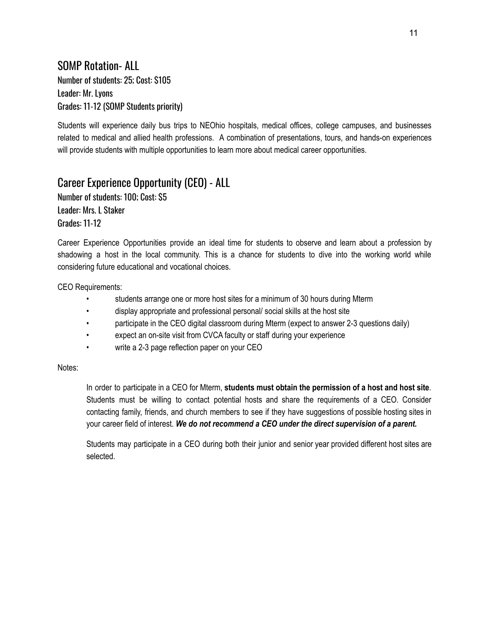#### SOMP Rotation- ALL Number of students: 25; Cost: \$105 Leader: Mr. Lyons Grades: 11-12 (SOMP Students priority)

Students will experience daily bus trips to NEOhio hospitals, medical offices, college campuses, and businesses related to medical and allied health professions. A combination of presentations, tours, and hands-on experiences will provide students with multiple opportunities to learn more about medical career opportunities.

### Career Experience Opportunity (CEO) - ALL

Number of students: 100; Cost: \$5 Leader: Mrs. L Staker Grades: 11-12

Career Experience Opportunities provide an ideal time for students to observe and learn about a profession by shadowing a host in the local community. This is a chance for students to dive into the working world while considering future educational and vocational choices.

CEO Requirements:

- students arrange one or more host sites for a minimum of 30 hours during Mterm
- display appropriate and professional personal/ social skills at the host site
- participate in the CEO digital classroom during Mterm (expect to answer 2-3 questions daily)
- expect an on-site visit from CVCA faculty or staff during your experience
- write a 2-3 page reflection paper on your CEO

Notes:

In order to participate in a CEO for Mterm, **students must obtain the permission of a host and host site**. Students must be willing to contact potential hosts and share the requirements of a CEO. Consider contacting family, friends, and church members to see if they have suggestions of possible hosting sites in your career field of interest. *We do not recommend a CEO under the direct supervision of a parent.*

Students may participate in a CEO during both their junior and senior year provided different host sites are selected.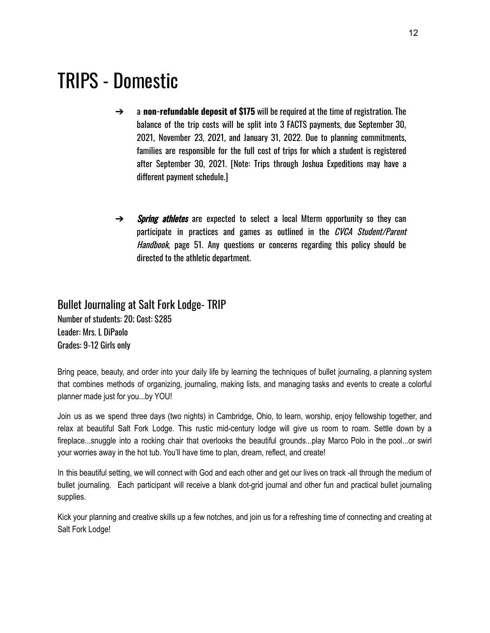# TRIPS - Domestic

- ➔ a **non-refundable deposit of \$175** will be required at the time of registration. The balance of the trip costs will be split into 3 FACTS payments, due September 30, 2021, November 23, 2021, and January 31, 2022. Due to planning commitments, families are responsible for the full cost of trips for which a student is registered after September 30, 2021. [Note: Trips through Joshua Expeditions may have a different payment schedule.]
- $\rightarrow$  Spring athletes are expected to select a local Mterm opportunity so they can participate in practices and games as outlined in the *CVCA Student/Parent* Handbook, page 51. Any questions or concerns regarding this policy should be directed to the athletic department.

# Bullet Journaling at Salt Fork Lodge- TRIP

Number of students: 20; Cost: \$285 Leader: Mrs. L DiPaolo Grades: 9-12 Girls only

Bring peace, beauty, and order into your daily life by learning the techniques of bullet journaling, a planning system that combines methods of organizing, journaling, making lists, and managing tasks and events to create a colorful planner made just for you...by YOU!

Join us as we spend three days (two nights) in Cambridge, Ohio, to learn, worship, enjoy fellowship together, and relax at beautiful Salt Fork Lodge. This rustic mid-century lodge will give us room to roam. Settle down by a fireplace...snuggle into a rocking chair that overlooks the beautiful grounds...play Marco Polo in the pool...or swirl your worries away in the hot tub. You'll have time to plan, dream, reflect, and create!

In this beautiful setting, we will connect with God and each other and get our lives on track -all through the medium of bullet journaling. Each participant will receive a blank dot-grid journal and other fun and practical bullet journaling supplies.

Kick your planning and creative skills up a few notches, and join us for a refreshing time of connecting and creating at Salt Fork Lodge!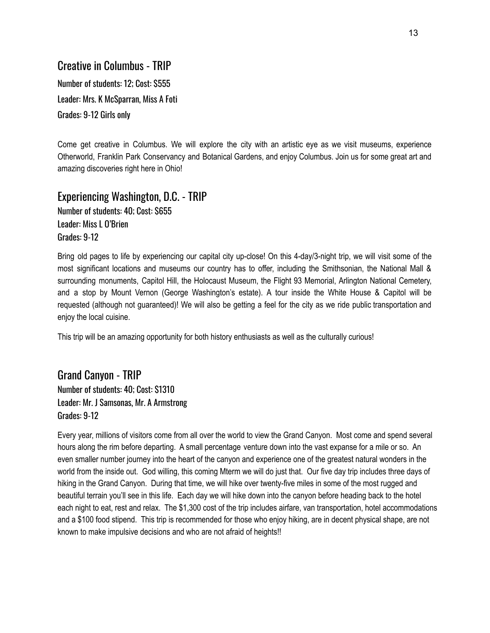#### Creative in Columbus - TRIP

Number of students: 12; Cost: \$555 Leader: Mrs. K McSparran, Miss A Foti Grades: 9-12 Girls only

Come get creative in Columbus. We will explore the city with an artistic eye as we visit museums, experience Otherworld, Franklin Park Conservancy and Botanical Gardens, and enjoy Columbus. Join us for some great art and amazing discoveries right here in Ohio!

Experiencing Washington, D.C. - TRIP Number of students: 40; Cost: \$655 Leader: Miss L O'Brien Grades: 9-12

Bring old pages to life by experiencing our capital city up-close! On this 4-day/3-night trip, we will visit some of the most significant locations and museums our country has to offer, including the Smithsonian, the National Mall & surrounding monuments, Capitol Hill, the Holocaust Museum, the Flight 93 Memorial, Arlington National Cemetery, and a stop by Mount Vernon (George Washington's estate). A tour inside the White House & Capitol will be requested (although not guaranteed)! We will also be getting a feel for the city as we ride public transportation and enjoy the local cuisine.

This trip will be an amazing opportunity for both history enthusiasts as well as the culturally curious!

Grand Canyon - TRIP Number of students: 40; Cost: \$1310 Leader: Mr. J Samsonas, Mr. A Armstrong Grades: 9-12

Every year, millions of visitors come from all over the world to view the Grand Canyon. Most come and spend several hours along the rim before departing. A small percentage venture down into the vast expanse for a mile or so. An even smaller number journey into the heart of the canyon and experience one of the greatest natural wonders in the world from the inside out. God willing, this coming Mterm we will do just that. Our five day trip includes three days of hiking in the Grand Canyon. During that time, we will hike over twenty-five miles in some of the most rugged and beautiful terrain you'll see in this life. Each day we will hike down into the canyon before heading back to the hotel each night to eat, rest and relax. The \$1,300 cost of the trip includes airfare, van transportation, hotel accommodations and a \$100 food stipend. This trip is recommended for those who enjoy hiking, are in decent physical shape, are not known to make impulsive decisions and who are not afraid of heights!!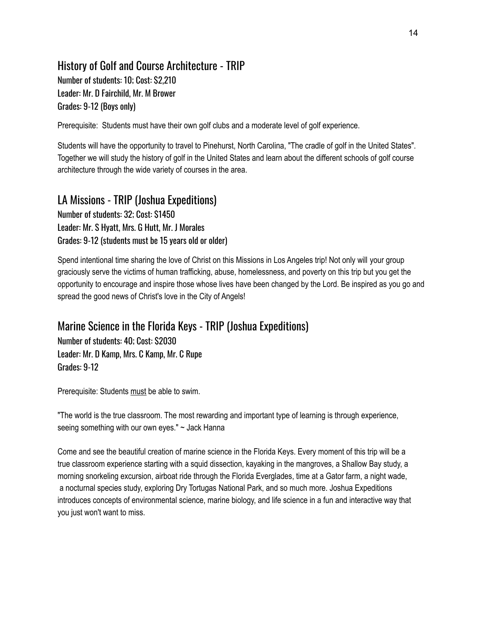# History of Golf and Course Architecture - TRIP Number of students: 10; Cost: \$2,210

Leader: Mr. D Fairchild, Mr. M Brower Grades: 9-12 (Boys only)

Prerequisite: Students must have their own golf clubs and a moderate level of golf experience.

Students will have the opportunity to travel to Pinehurst, North Carolina, "The cradle of golf in the United States". Together we will study the history of golf in the United States and learn about the different schools of golf course architecture through the wide variety of courses in the area.

# LA Missions - TRIP (Joshua Expeditions)

Number of students: 32; Cost: \$1450 Leader: Mr. S Hyatt, Mrs. G Hutt, Mr. J Morales Grades: 9-12 (students must be 15 years old or older)

Spend intentional time sharing the love of Christ on this Missions in Los Angeles trip! Not only will your group graciously serve the victims of human trafficking, abuse, homelessness, and poverty on this trip but you get the opportunity to encourage and inspire those whose lives have been changed by the Lord. Be inspired as you go and spread the good news of Christ's love in the City of Angels!

## Marine Science in the Florida Keys - TRIP (Joshua Expeditions)

Number of students: 40; Cost: \$2030 Leader: Mr. D Kamp, Mrs. C Kamp, Mr. C Rupe Grades: 9-12

Prerequisite: Students must be able to swim.

"The world is the true classroom. The most rewarding and important type of learning is through experience, seeing something with our own eyes." ~ Jack Hanna

Come and see the beautiful creation of marine science in the Florida Keys. Every moment of this trip will be a true classroom experience starting with a squid dissection, kayaking in the mangroves, a Shallow Bay study, a morning snorkeling excursion, airboat ride through the Florida Everglades, time at a Gator farm, a night wade, a nocturnal species study, exploring Dry Tortugas National Park, and so much more. Joshua Expeditions introduces concepts of environmental science, marine biology, and life science in a fun and interactive way that you just won't want to miss.